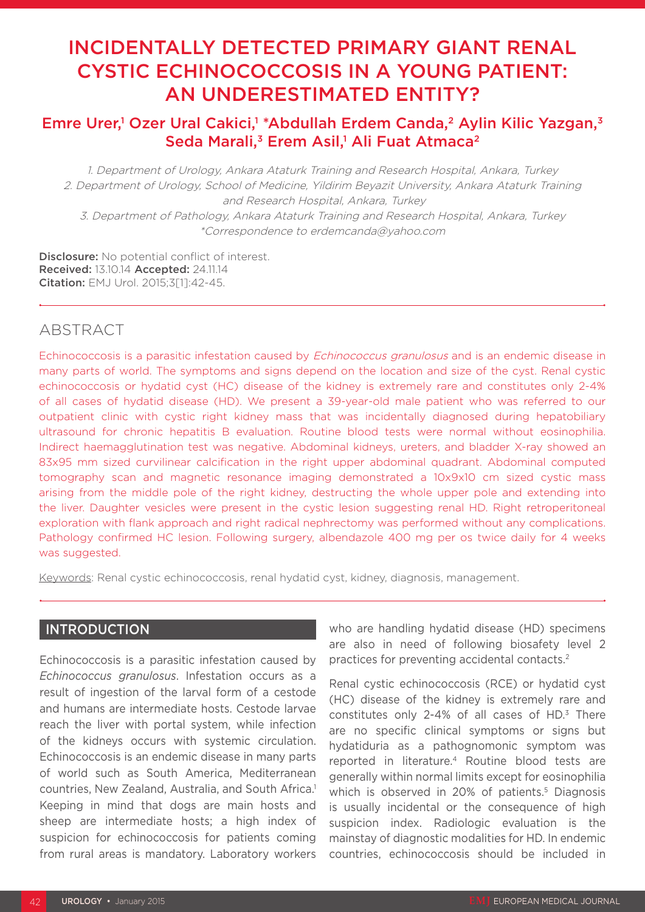# INCIDENTALLY DETECTED PRIMARY GIANT RENAL CYSTIC ECHINOCOCCOSIS IN A YOUNG PATIENT: AN UNDERESTIMATED ENTITY?

## Emre Urer,<sup>1</sup> Ozer Ural Cakici,<sup>1</sup> \*Abdullah Erdem Canda,<sup>2</sup> Aylin Kilic Yazgan,<sup>3</sup> Seda Marali,<sup>3</sup> Erem Asil,<sup>1</sup> Ali Fuat Atmaca<sup>2</sup>

1. Department of Urology, Ankara Ataturk Training and Research Hospital, Ankara, Turkey 2. Department of Urology, School of Medicine, Yildirim Beyazit University, Ankara Ataturk Training and Research Hospital, Ankara, Turkey 3. Department of Pathology, Ankara Ataturk Training and Research Hospital, Ankara, Turkey \*Correspondence to erdemcanda@yahoo.com

Disclosure: No potential conflict of interest. Received: 13.10.14 Accepted: 24.11.14 Citation: EMJ Urol. 2015;3[1]:42-45.

## ABSTRACT

Echinococcosis is a parasitic infestation caused by *Echinococcus granulosus* and is an endemic disease in many parts of world. The symptoms and signs depend on the location and size of the cyst. Renal cystic echinococcosis or hydatid cyst (HC) disease of the kidney is extremely rare and constitutes only 2-4% of all cases of hydatid disease (HD). We present a 39-year-old male patient who was referred to our outpatient clinic with cystic right kidney mass that was incidentally diagnosed during hepatobiliary ultrasound for chronic hepatitis B evaluation. Routine blood tests were normal without eosinophilia. Indirect haemagglutination test was negative. Abdominal kidneys, ureters, and bladder X-ray showed an 83x95 mm sized curvilinear calcification in the right upper abdominal quadrant. Abdominal computed tomography scan and magnetic resonance imaging demonstrated a 10x9x10 cm sized cystic mass arising from the middle pole of the right kidney, destructing the whole upper pole and extending into the liver. Daughter vesicles were present in the cystic lesion suggesting renal HD. Right retroperitoneal exploration with flank approach and right radical nephrectomy was performed without any complications. Pathology confirmed HC lesion. Following surgery, albendazole 400 mg per os twice daily for 4 weeks was suggested.

Keywords: Renal cystic echinococcosis, renal hydatid cyst, kidney, diagnosis, management.

### INTRODUCTION

Echinococcosis is a parasitic infestation caused by *Echinococcus granulosus*. Infestation occurs as a result of ingestion of the larval form of a cestode and humans are intermediate hosts. Cestode larvae reach the liver with portal system, while infection of the kidneys occurs with systemic circulation. Echinococcosis is an endemic disease in many parts of world such as South America, Mediterranean countries, New Zealand, Australia, and South Africa.1 Keeping in mind that dogs are main hosts and sheep are intermediate hosts; a high index of suspicion for echinococcosis for patients coming from rural areas is mandatory. Laboratory workers

who are handling hydatid disease (HD) specimens are also in need of following biosafety level 2 practices for preventing accidental contacts.2

Renal cystic echinococcosis (RCE) or hydatid cyst (HC) disease of the kidney is extremely rare and constitutes only 2-4% of all cases of HD.<sup>3</sup> There are no specific clinical symptoms or signs but hydatiduria as a pathognomonic symptom was reported in literature.4 Routine blood tests are generally within normal limits except for eosinophilia which is observed in 20% of patients.<sup>5</sup> Diagnosis is usually incidental or the consequence of high suspicion index. Radiologic evaluation is the mainstay of diagnostic modalities for HD. In endemic countries, echinococcosis should be included in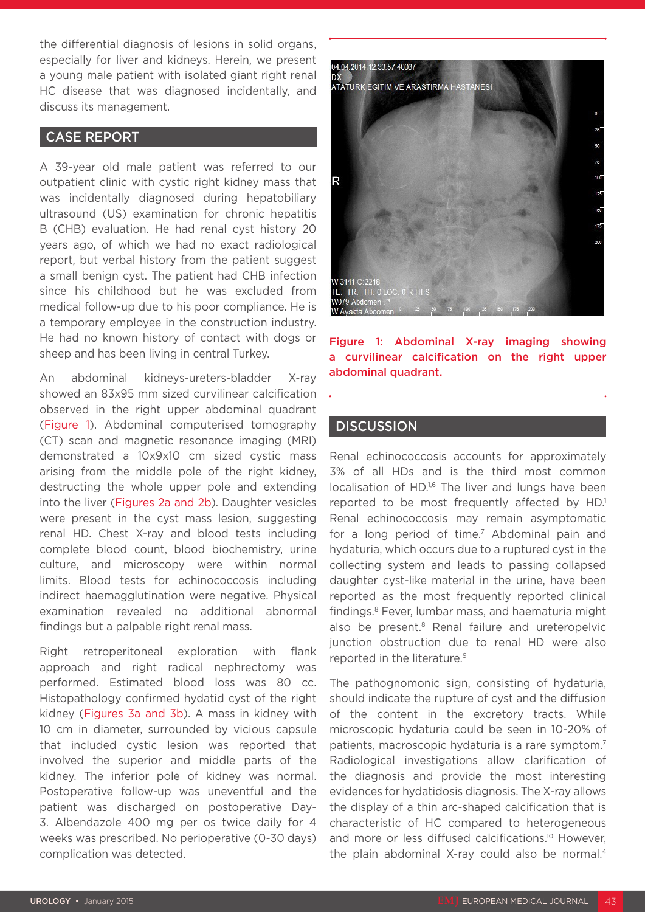the differential diagnosis of lesions in solid organs, especially for liver and kidneys. Herein, we present a young male patient with isolated giant right renal HC disease that was diagnosed incidentally, and discuss its management.

#### CASE REPORT

A 39-year old male patient was referred to our outpatient clinic with cystic right kidney mass that was incidentally diagnosed during hepatobiliary ultrasound (US) examination for chronic hepatitis B (CHB) evaluation. He had renal cyst history 20 years ago, of which we had no exact radiological report, but verbal history from the patient suggest a small benign cyst. The patient had CHB infection since his childhood but he was excluded from medical follow-up due to his poor compliance. He is a temporary employee in the construction industry. He had no known history of contact with dogs or sheep and has been living in central Turkey.

An abdominal kidneys-ureters-bladder X-ray showed an 83x95 mm sized curvilinear calcification observed in the right upper abdominal quadrant (Figure 1). Abdominal computerised tomography (CT) scan and magnetic resonance imaging (MRI) demonstrated a 10x9x10 cm sized cystic mass arising from the middle pole of the right kidney, destructing the whole upper pole and extending into the liver (Figures 2a and 2b). Daughter vesicles were present in the cyst mass lesion, suggesting renal HD. Chest X-ray and blood tests including complete blood count, blood biochemistry, urine culture, and microscopy were within normal limits. Blood tests for echinococcosis including indirect haemagglutination were negative. Physical examination revealed no additional abnormal findings but a palpable right renal mass.

Right retroperitoneal exploration with flank approach and right radical nephrectomy was performed. Estimated blood loss was 80 cc. Histopathology confirmed hydatid cyst of the right kidney (Figures 3a and 3b). A mass in kidney with 10 cm in diameter, surrounded by vicious capsule that included cystic lesion was reported that involved the superior and middle parts of the kidney. The inferior pole of kidney was normal. Postoperative follow-up was uneventful and the patient was discharged on postoperative Day-3. Albendazole 400 mg per os twice daily for 4 weeks was prescribed. No perioperative (0-30 days) complication was detected.



Figure 1: Abdominal X-ray imaging showing a curvilinear calcification on the right upper abdominal quadrant.

#### **DISCUSSION**

Renal echinococcosis accounts for approximately 3% of all HDs and is the third most common localisation of HD.<sup>1,6</sup> The liver and lungs have been reported to be most frequently affected by HD.<sup>1</sup> Renal echinococcosis may remain asymptomatic for a long period of time.7 Abdominal pain and hydaturia, which occurs due to a ruptured cyst in the collecting system and leads to passing collapsed daughter cyst-like material in the urine, have been reported as the most frequently reported clinical findings.8 Fever, lumbar mass, and haematuria might also be present.<sup>8</sup> Renal failure and ureteropelvic junction obstruction due to renal HD were also reported in the literature.<sup>9</sup>

The pathognomonic sign, consisting of hydaturia, should indicate the rupture of cyst and the diffusion of the content in the excretory tracts. While microscopic hydaturia could be seen in 10-20% of patients, macroscopic hydaturia is a rare symptom.7 Radiological investigations allow clarification of the diagnosis and provide the most interesting evidences for hydatidosis diagnosis. The X-ray allows the display of a thin arc-shaped calcification that is characteristic of HC compared to heterogeneous and more or less diffused calcifications.<sup>10</sup> However, the plain abdominal X-ray could also be normal.4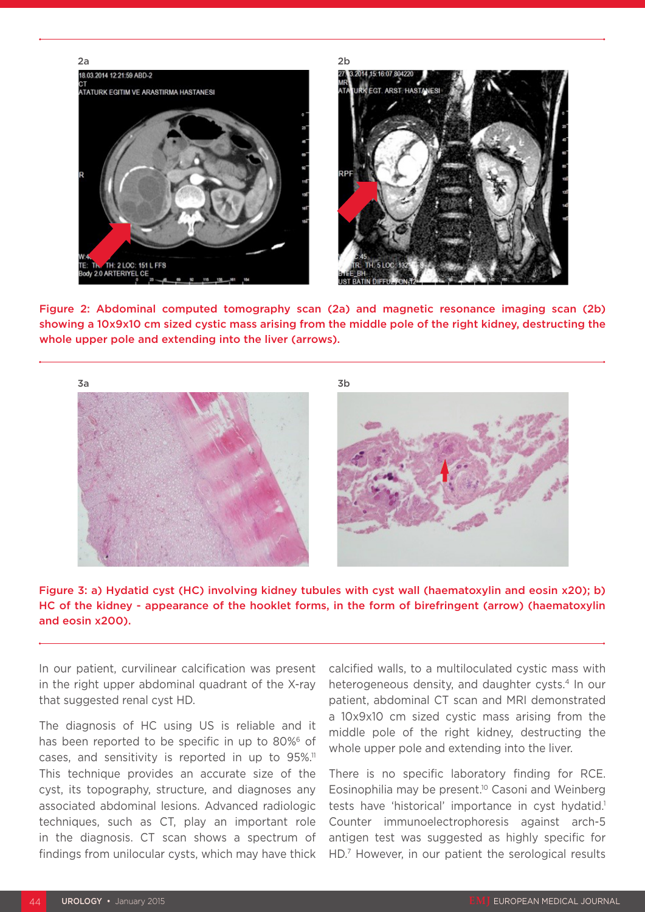

Figure 2: Abdominal computed tomography scan (2a) and magnetic resonance imaging scan (2b) showing a 10x9x10 cm sized cystic mass arising from the middle pole of the right kidney, destructing the whole upper pole and extending into the liver (arrows).





In our patient, curvilinear calcification was present in the right upper abdominal quadrant of the X-ray that suggested renal cyst HD.

The diagnosis of HC using US is reliable and it has been reported to be specific in up to 80%<sup>6</sup> of cases, and sensitivity is reported in up to 95%.<sup>11</sup> This technique provides an accurate size of the cyst, its topography, structure, and diagnoses any associated abdominal lesions. Advanced radiologic techniques, such as CT, play an important role in the diagnosis. CT scan shows a spectrum of findings from unilocular cysts, which may have thick calcified walls, to a multiloculated cystic mass with heterogeneous density, and daughter cysts.<sup>4</sup> In our patient, abdominal CT scan and MRI demonstrated a 10x9x10 cm sized cystic mass arising from the middle pole of the right kidney, destructing the whole upper pole and extending into the liver.

There is no specific laboratory finding for RCE. Eosinophilia may be present.<sup>10</sup> Casoni and Weinberg tests have 'historical' importance in cyst hydatid.<sup>1</sup> Counter immunoelectrophoresis against arch-5 antigen test was suggested as highly specific for HD.7 However, in our patient the serological results